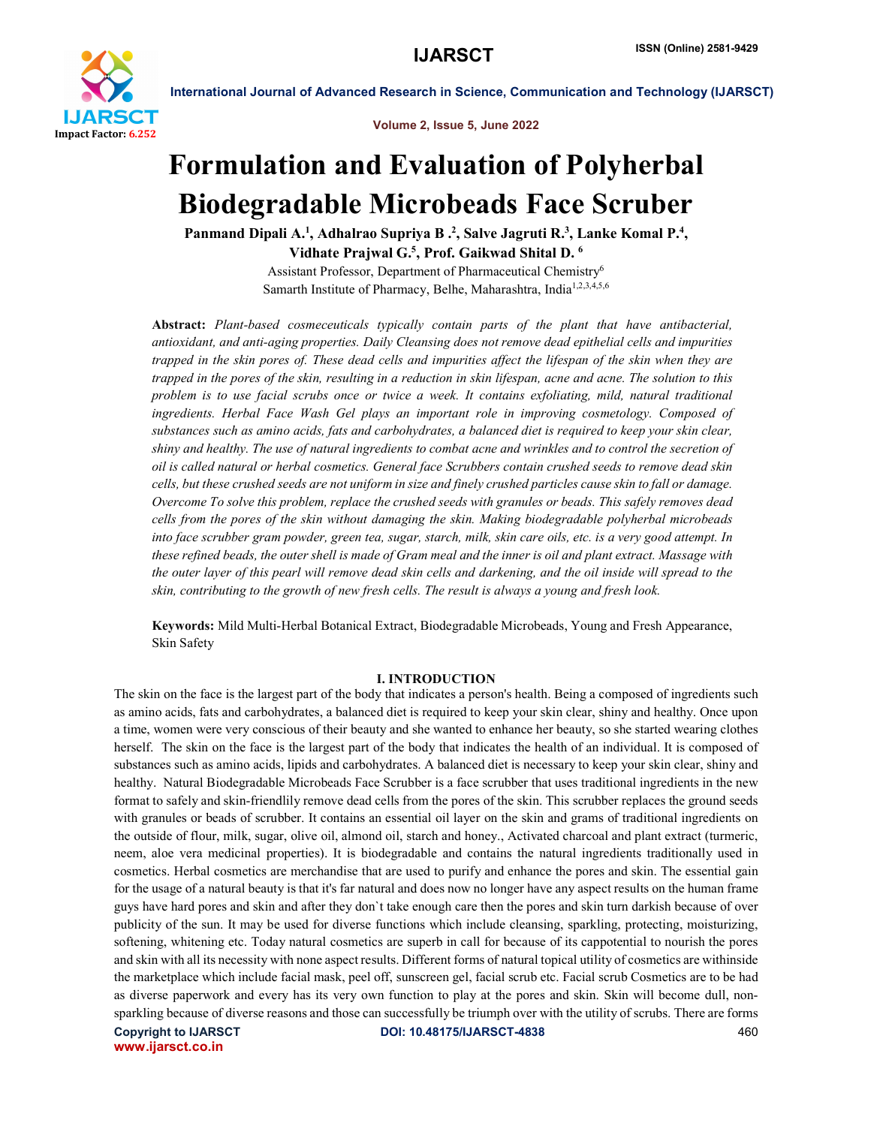

Volume 2, Issue 5, June 2022

International Journal of Advanced Research in Science, Communication and Technology (IJARSCT)

# Formulation and Evaluation of Polyherbal Biodegradable Microbeads Face Scruber

Panmand Dipali A.<sup>1</sup>, Adhalrao Supriya B .<sup>2</sup>, Salve Jagruti R.<sup>3</sup>, Lanke Komal P.<sup>4</sup>, Vidhate Prajwal G.<sup>5</sup>, Prof. Gaikwad Shital D.  $^6$ 

> Assistant Professor, Department of Pharmaceutical Chemistry6 Samarth Institute of Pharmacy, Belhe, Maharashtra, India<sup>1,2,3,4,5,6</sup>

Abstract: *Plant-based cosmeceuticals typically contain parts of the plant that have antibacterial, antioxidant, and anti-aging properties. Daily Cleansing does not remove dead epithelial cells and impurities trapped in the skin pores of. These dead cells and impurities affect the lifespan of the skin when they are trapped in the pores of the skin, resulting in a reduction in skin lifespan, acne and acne. The solution to this problem is to use facial scrubs once or twice a week. It contains exfoliating, mild, natural traditional ingredients. Herbal Face Wash Gel plays an important role in improving cosmetology. Composed of substances such as amino acids, fats and carbohydrates, a balanced diet is required to keep your skin clear, shiny and healthy. The use of natural ingredients to combat acne and wrinkles and to control the secretion of oil is called natural or herbal cosmetics. General face Scrubbers contain crushed seeds to remove dead skin cells, but these crushed seeds are not uniform in size and finely crushed particles cause skin to fall or damage. Overcome To solve this problem, replace the crushed seeds with granules or beads. This safely removes dead cells from the pores of the skin without damaging the skin. Making biodegradable polyherbal microbeads into face scrubber gram powder, green tea, sugar, starch, milk, skin care oils, etc. is a very good attempt. In these refined beads, the outer shell is made of Gram meal and the inner is oil and plant extract. Massage with the outer layer of this pearl will remove dead skin cells and darkening, and the oil inside will spread to the skin, contributing to the growth of new fresh cells. The result is always a young and fresh look.*

Keywords: Mild Multi-Herbal Botanical Extract, Biodegradable Microbeads, Young and Fresh Appearance, Skin Safety

# I. INTRODUCTION

The skin on the face is the largest part of the body that indicates a person's health. Being a composed of ingredients such as amino acids, fats and carbohydrates, a balanced diet is required to keep your skin clear, shiny and healthy. Once upon a time, women were very conscious of their beauty and she wanted to enhance her beauty, so she started wearing clothes herself. The skin on the face is the largest part of the body that indicates the health of an individual. It is composed of substances such as amino acids, lipids and carbohydrates. A balanced diet is necessary to keep your skin clear, shiny and healthy. Natural Biodegradable Microbeads Face Scrubber is a face scrubber that uses traditional ingredients in the new format to safely and skin-friendlily remove dead cells from the pores of the skin. This scrubber replaces the ground seeds with granules or beads of scrubber. It contains an essential oil layer on the skin and grams of traditional ingredients on the outside of flour, milk, sugar, olive oil, almond oil, starch and honey., Activated charcoal and plant extract (turmeric, neem, aloe vera medicinal properties). It is biodegradable and contains the natural ingredients traditionally used in cosmetics. Herbal cosmetics are merchandise that are used to purify and enhance the pores and skin. The essential gain for the usage of a natural beauty is that it's far natural and does now no longer have any aspect results on the human frame guys have hard pores and skin and after they don`t take enough care then the pores and skin turn darkish because of over publicity of the sun. It may be used for diverse functions which include cleansing, sparkling, protecting, moisturizing, softening, whitening etc. Today natural cosmetics are superb in call for because of its cappotential to nourish the pores and skin with all its necessity with none aspect results. Different forms of natural topical utility of cosmetics are withinside the marketplace which include facial mask, peel off, sunscreen gel, facial scrub etc. Facial scrub Cosmetics are to be had as diverse paperwork and every has its very own function to play at the pores and skin. Skin will become dull, nonsparkling because of diverse reasons and those can successfully be triumph over with the utility of scrubs. There are forms

www.ijarsct.co.in

Copyright to IJARSCT DOI: 10.48175/IJARSCT-4838 460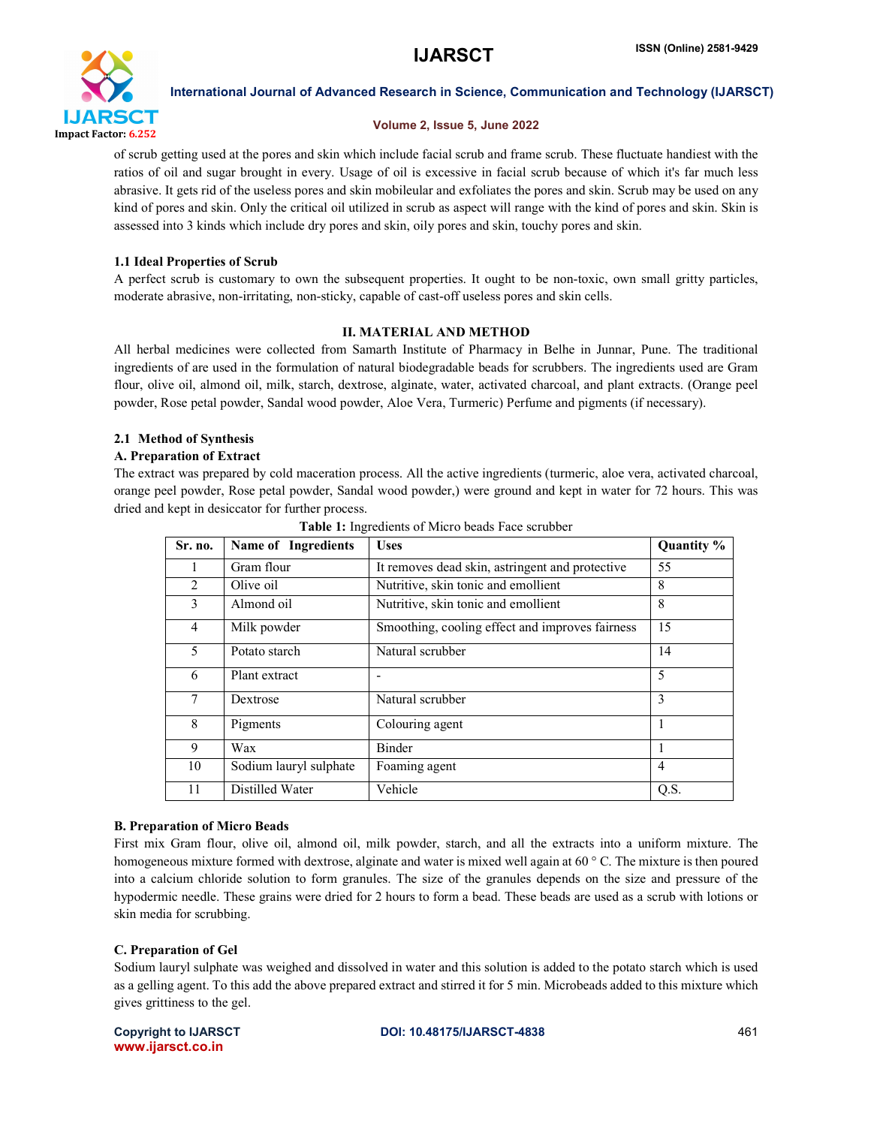

# Volume 2, Issue 5, June 2022

of scrub getting used at the pores and skin which include facial scrub and frame scrub. These fluctuate handiest with the ratios of oil and sugar brought in every. Usage of oil is excessive in facial scrub because of which it's far much less abrasive. It gets rid of the useless pores and skin mobileular and exfoliates the pores and skin. Scrub may be used on any kind of pores and skin. Only the critical oil utilized in scrub as aspect will range with the kind of pores and skin. Skin is assessed into 3 kinds which include dry pores and skin, oily pores and skin, touchy pores and skin.

# 1.1 Ideal Properties of Scrub

A perfect scrub is customary to own the subsequent properties. It ought to be non-toxic, own small gritty particles, moderate abrasive, non-irritating, non-sticky, capable of cast-off useless pores and skin cells.

# II. MATERIAL AND METHOD

All herbal medicines were collected from Samarth Institute of Pharmacy in Belhe in Junnar, Pune. The traditional ingredients of are used in the formulation of natural biodegradable beads for scrubbers. The ingredients used are Gram flour, olive oil, almond oil, milk, starch, dextrose, alginate, water, activated charcoal, and plant extracts. (Orange peel powder, Rose petal powder, Sandal wood powder, Aloe Vera, Turmeric) Perfume and pigments (if necessary).

# 2.1 Method of Synthesis

# A. Preparation of Extract

The extract was prepared by cold maceration process. All the active ingredients (turmeric, aloe vera, activated charcoal, orange peel powder, Rose petal powder, Sandal wood powder,) were ground and kept in water for 72 hours. This was dried and kept in desiccator for further process.

| Sr. no. | <b>Name of Ingredients</b> | <b>Uses</b>                                     | Quantity % |
|---------|----------------------------|-------------------------------------------------|------------|
|         | Gram flour                 | It removes dead skin, astringent and protective | 55         |
| 2       | Olive oil                  | Nutritive, skin tonic and emollient             | 8          |
| 3       | Almond oil                 | Nutritive, skin tonic and emollient             | 8          |
| 4       | Milk powder                | Smoothing, cooling effect and improves fairness | 15         |
| 5       | Potato starch              | Natural scrubber                                | 14         |
| 6       | Plant extract              |                                                 | 5          |
| 7       | Dextrose                   | Natural scrubber                                | 3          |
| 8       | Pigments                   | Colouring agent                                 |            |
| 9       | Wax                        | <b>Binder</b>                                   | J.         |
| 10      | Sodium lauryl sulphate     | Foaming agent                                   | 4          |
| 11      | Distilled Water            | Vehicle                                         | Q.S.       |

| Table 1: Ingredients of Micro beads Face scrubber |  |  |
|---------------------------------------------------|--|--|
|                                                   |  |  |

# B. Preparation of Micro Beads

First mix Gram flour, olive oil, almond oil, milk powder, starch, and all the extracts into a uniform mixture. The homogeneous mixture formed with dextrose, alginate and water is mixed well again at 60 ° C. The mixture is then poured into a calcium chloride solution to form granules. The size of the granules depends on the size and pressure of the hypodermic needle. These grains were dried for 2 hours to form a bead. These beads are used as a scrub with lotions or skin media for scrubbing.

# C. Preparation of Gel

Sodium lauryl sulphate was weighed and dissolved in water and this solution is added to the potato starch which is used as a gelling agent. To this add the above prepared extract and stirred it for 5 min. Microbeads added to this mixture which gives grittiness to the gel.

www.ijarsct.co.in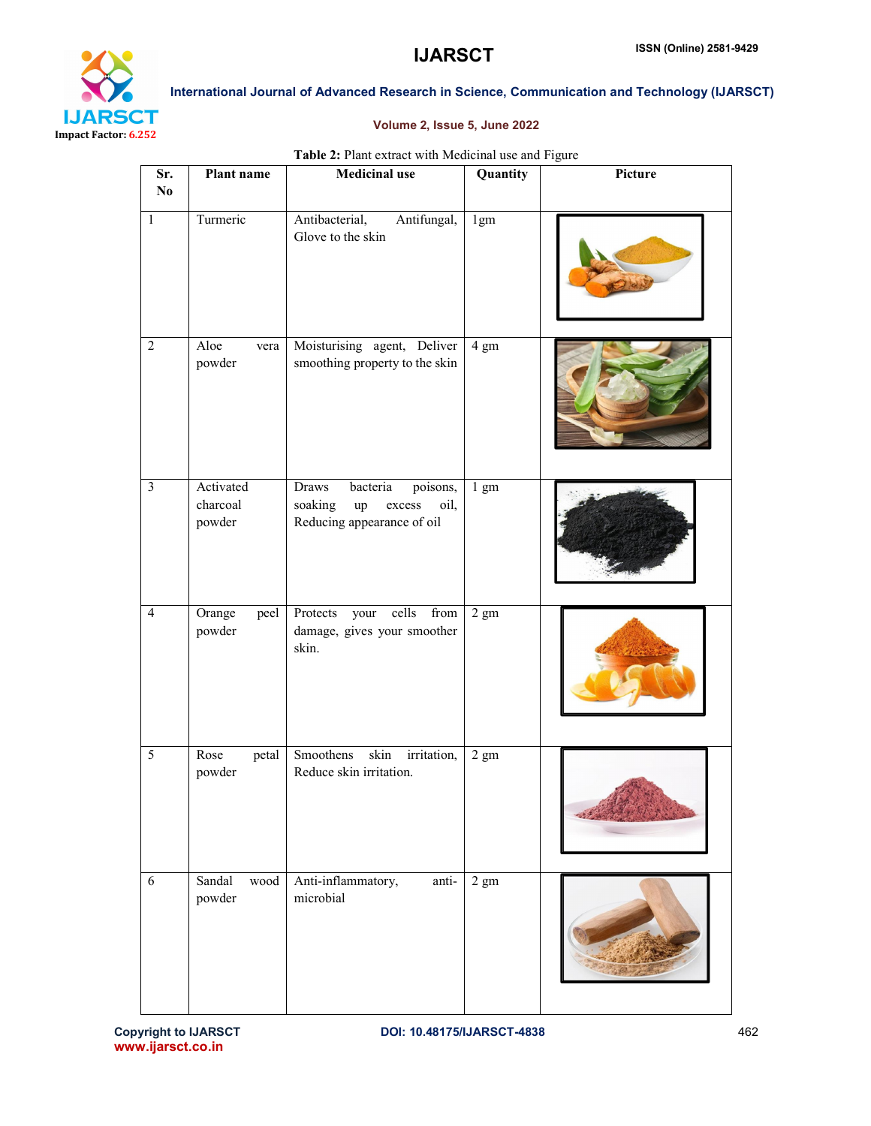

# Volume 2, Issue 5, June 2022

# Table 2: Plant extract with Medicinal use and Figure

| Sr.<br>$\mathbf{N}\mathbf{o}$ | Plant name                      | <b>Medicinal use</b>                                                                           | Quantity       | Picture |
|-------------------------------|---------------------------------|------------------------------------------------------------------------------------------------|----------------|---------|
| $\,1$                         | Turmeric                        | Antibacterial,<br>Antifungal,<br>Glove to the skin                                             | 1gm            |         |
| $\overline{2}$                | Aloe<br>vera<br>powder          | Moisturising agent, Deliver<br>smoothing property to the skin                                  | 4 gm           |         |
| $\overline{\mathbf{3}}$       | Activated<br>charcoal<br>powder | Draws<br>bacteria<br>poisons,<br>soaking<br>up<br>oil,<br>excess<br>Reducing appearance of oil | $1 \text{ gm}$ |         |
| $\overline{4}$                | Orange<br>peel<br>powder        | Protects<br>cells<br>from<br>your<br>damage, gives your smoother<br>skin.                      | $2 \text{ gm}$ |         |
| $\overline{5}$                | Rose<br>petal<br>powder         | Smoothens<br>skin irritation,<br>Reduce skin irritation.                                       | $2 \text{ gm}$ |         |
| 6                             | Sandal<br>wood<br>powder        | Anti-inflammatory,<br>anti-<br>microbial                                                       | $2 \text{ gm}$ |         |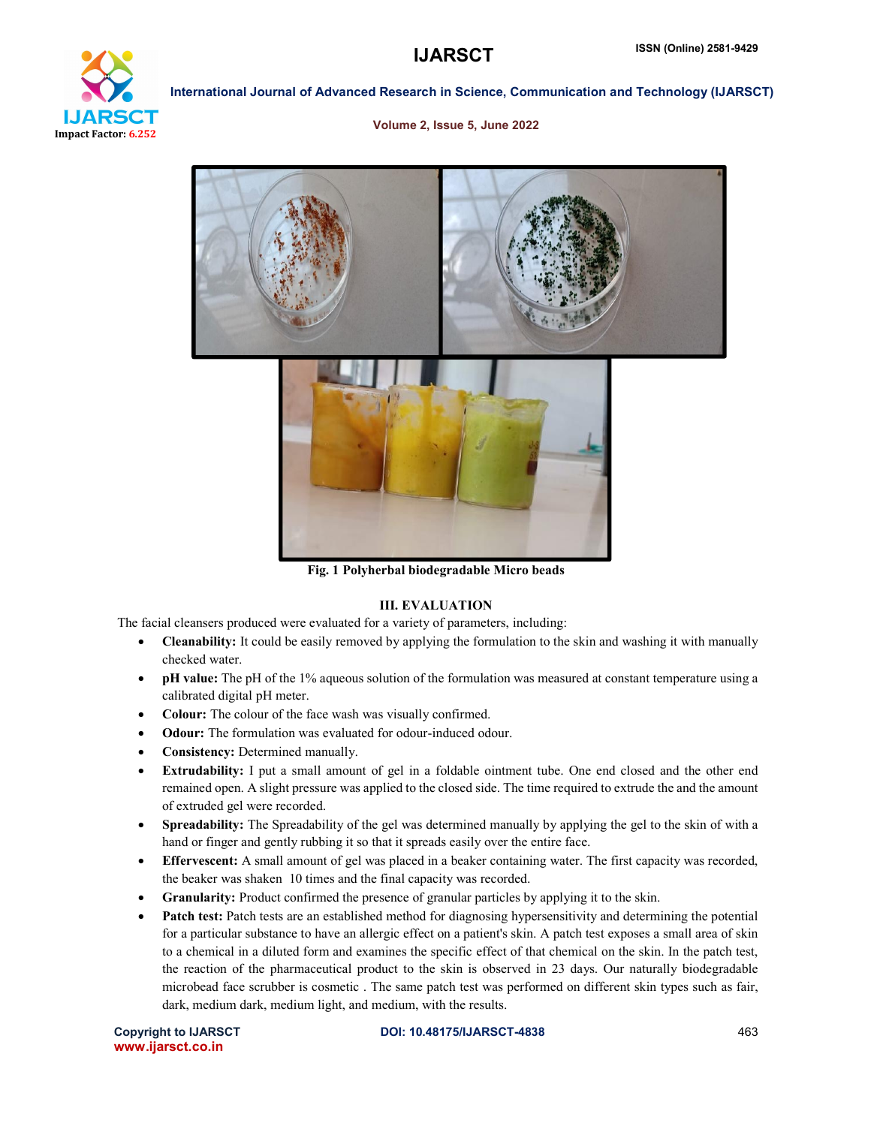

#### Volume 2, Issue 5, June 2022



Fig. 1 Polyherbal biodegradable Micro beads

# III. EVALUATION

The facial cleansers produced were evaluated for a variety of parameters, including:

- Cleanability: It could be easily removed by applying the formulation to the skin and washing it with manually checked water.
- pH value: The pH of the 1% aqueous solution of the formulation was measured at constant temperature using a calibrated digital pH meter.
- Colour: The colour of the face wash was visually confirmed.
- Odour: The formulation was evaluated for odour-induced odour.
- Consistency: Determined manually.
- Extrudability: I put a small amount of gel in a foldable ointment tube. One end closed and the other end remained open. A slight pressure was applied to the closed side. The time required to extrude the and the amount of extruded gel were recorded.
- Spreadability: The Spreadability of the gel was determined manually by applying the gel to the skin of with a hand or finger and gently rubbing it so that it spreads easily over the entire face.
- Effervescent: A small amount of gel was placed in a beaker containing water. The first capacity was recorded, the beaker was shaken 10 times and the final capacity was recorded.
- Granularity: Product confirmed the presence of granular particles by applying it to the skin.
- Patch test: Patch tests are an established method for diagnosing hypersensitivity and determining the potential for a particular substance to have an allergic effect on a patient's skin. A patch test exposes a small area of skin to a chemical in a diluted form and examines the specific effect of that chemical on the skin. In the patch test, the reaction of the pharmaceutical product to the skin is observed in 23 days. Our naturally biodegradable microbead face scrubber is cosmetic . The same patch test was performed on different skin types such as fair, dark, medium dark, medium light, and medium, with the results.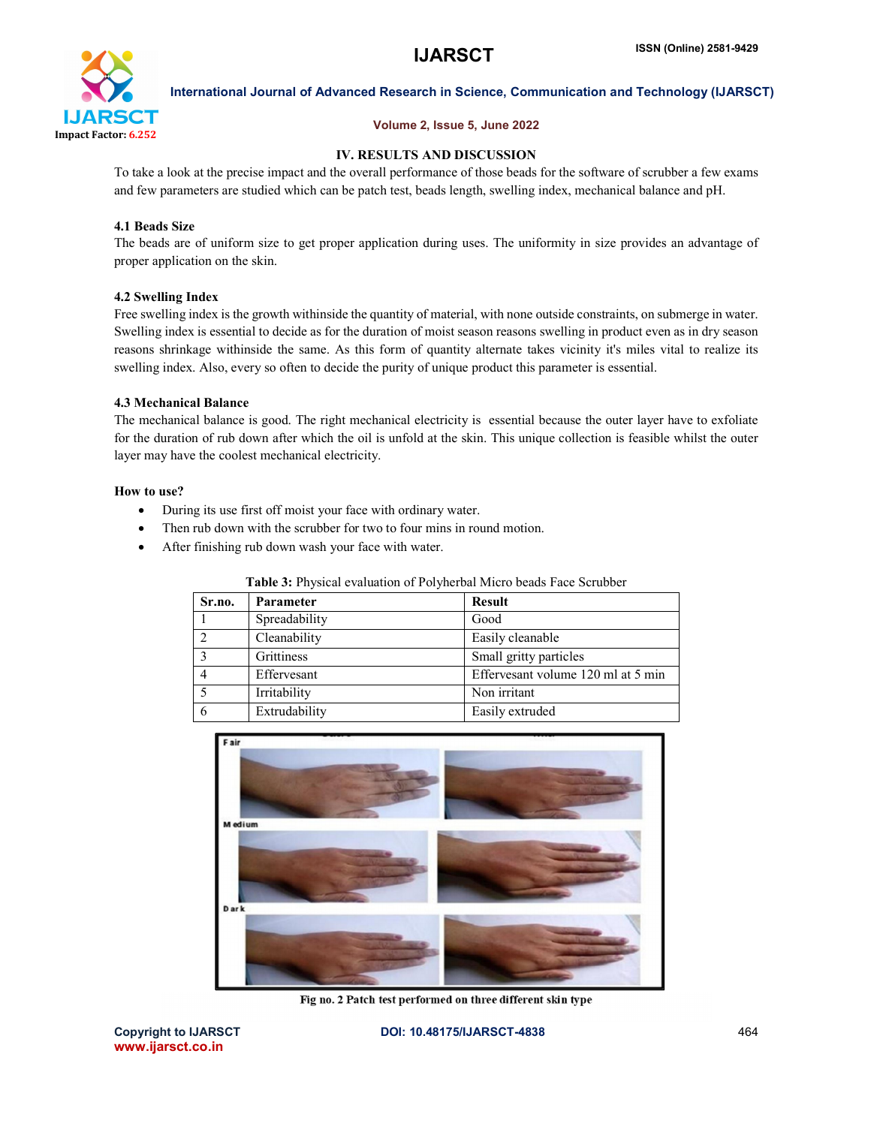

# Volume 2, Issue 5, June 2022

# IV. RESULTS AND DISCUSSION

To take a look at the precise impact and the overall performance of those beads for the software of scrubber a few exams and few parameters are studied which can be patch test, beads length, swelling index, mechanical balance and pH.

# 4.1 Beads Size

The beads are of uniform size to get proper application during uses. The uniformity in size provides an advantage of proper application on the skin.

# 4.2 Swelling Index

Free swelling index is the growth withinside the quantity of material, with none outside constraints, on submerge in water. Swelling index is essential to decide as for the duration of moist season reasons swelling in product even as in dry season reasons shrinkage withinside the same. As this form of quantity alternate takes vicinity it's miles vital to realize its swelling index. Also, every so often to decide the purity of unique product this parameter is essential.

# 4.3 Mechanical Balance

The mechanical balance is good. The right mechanical electricity is essential because the outer layer have to exfoliate for the duration of rub down after which the oil is unfold at the skin. This unique collection is feasible whilst the outer layer may have the coolest mechanical electricity.

# How to use?

- During its use first off moist your face with ordinary water.
- Then rub down with the scrubber for two to four mins in round motion.
- After finishing rub down wash your face with water.

| Sr.no. | <b>Parameter</b> | <b>Result</b>                      |
|--------|------------------|------------------------------------|
|        | Spreadability    | Good                               |
| 2      | Cleanability     | Easily cleanable                   |
|        | Grittiness       | Small gritty particles             |
|        | Effervesant      | Effervesant volume 120 ml at 5 min |
|        | Irritability     | Non irritant                       |
|        | Extrudability    | Easily extruded                    |

# Table 3: Physical evaluation of Polyherbal Micro beads Face Scrubber



Fig no. 2 Patch test performed on three different skin type